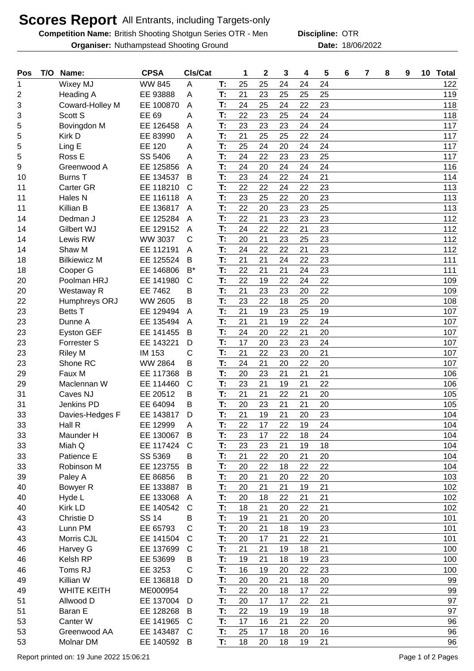## **Scores Report** All Entrants, including Targets-only

**Competition Name:** British Shooting Shotgun Series OTR - Men **Discipline: OTR** 

**Organiser:** Nuthampstead Shooting Ground 18/06/2022 **Date:** 18/06/2022

**Discipline:**

| Pos            | T/O | Name:               | <b>CPSA</b>            | CIs/Cat      |          | 1        | $\mathbf 2$ | 3        | 4        | 5        | 6 | 7 | 8 | 9 | 10 | <b>Total</b> |
|----------------|-----|---------------------|------------------------|--------------|----------|----------|-------------|----------|----------|----------|---|---|---|---|----|--------------|
| 1              |     | <b>Wixey MJ</b>     | <b>WW 845</b>          | A            | Т:       | 25       | 25          | 24       | 24       | 24       |   |   |   |   |    | 122          |
| $\overline{2}$ |     | Heading A           | EE 93888               | A            | T:       | 21       | 23          | 25       | 25       | 25       |   |   |   |   |    | 119          |
| 3              |     | Coward-Holley M     | EE 100870              | A            | T:       | 24       | 25          | 24       | 22       | 23       |   |   |   |   |    | 118          |
| 3              |     | Scott S             | EE 69                  | Α            | T:       | 22       | 23          | 25       | 24       | 24       |   |   |   |   |    | 118          |
| 5              |     | Bovingdon M         | EE 126458              | A            | T:       | 23       | 23          | 23       | 24       | 24       |   |   |   |   |    | 117          |
| 5              |     | Kirk D              | EE 83990               | A            | T:       | 21       | 25          | 25       | 22       | 24       |   |   |   |   |    | 117          |
| 5              |     | Ling E              | EE 120                 | Α            | T:       | 25       | 24          | 20       | 24       | 24       |   |   |   |   |    | 117          |
| 5              |     | Ross E              | SS 5406                | A            | T:       | 24       | 22          | 23       | 23       | 25       |   |   |   |   |    | 117          |
| 9              |     | Greenwood A         | EE 125856              | A            | T:       | 24       | 20          | 24       | 24       | 24       |   |   |   |   |    | 116          |
| 10             |     | <b>Burns T</b>      | EE 134537              | B            | T:       | 23       | 24          | 22       | 24       | 21       |   |   |   |   |    | 114          |
| 11             |     | Carter GR           | EE 118210              | C            | T:       | 22       | 22          | 24       | 22       | 23       |   |   |   |   |    | 113          |
| 11             |     | Hales N             | EE 116118              | A            | T:       | 23       | 25          | 22       | 20       | 23       |   |   |   |   |    | 113          |
| 11             |     | Killian B           | EE 136817              | A            | T:       | 22       | 20          | 23       | 23       | 25       |   |   |   |   |    | 113          |
| 14             |     | Dedman J            | EE 125284              | A            | T:       | 22       | 21          | 23       | 23       | 23       |   |   |   |   |    | 112          |
| 14             |     | Gilbert WJ          | EE 129152              | A            | T:       | 24       | 22          | 22       | 21       | 23       |   |   |   |   |    | 112          |
| 14             |     | Lewis RW            | <b>WW 3037</b>         | C            | T:       | 20       | 21          | 23       | 25       | 23       |   |   |   |   |    | 112          |
| 14             |     | Shaw M              | EE 112191              | A            | T:       | 24       | 22          | 22       | 21       | 23       |   |   |   |   |    | 112          |
| 18             |     | <b>Bilkiewicz M</b> | EE 125524              | B            | T:       | 21       | 21          | 24       | 22       | 23       |   |   |   |   |    | 111          |
| 18             |     | Cooper G            | EE 146806              | $B^*$        | T:       | 22       | 21          | 21       | 24       | 23       |   |   |   |   |    | 111          |
| 20             |     | Poolman HRJ         | EE 141980              | $\mathsf{C}$ | T:       | 22       | 19          | 22       | 24       | 22       |   |   |   |   |    | 109          |
| 20             |     | Westaway R          | EE 7462                | B            | T:       | 21       | 23          | 23       | 20       | 22       |   |   |   |   |    | 109          |
| 22             |     | Humphreys ORJ       | <b>WW 2605</b>         | B            | T:       | 23       | 22          | 18       | 25       | 20       |   |   |   |   |    | 108          |
| 23             |     | <b>Betts T</b>      | EE 129494              | A            | T:       | 21       | 19          | 23       | 25       | 19       |   |   |   |   |    | 107          |
| 23             |     | Dunne A             | EE 135494              | A            | T:       | 21       | 21          | 19       | 22       | 24       |   |   |   |   |    | 107          |
| 23             |     | <b>Eyston GEF</b>   | EE 141455              | B            | T:       | 24       | 20          | 22       | 21       | 20       |   |   |   |   |    | 107          |
| 23             |     | Forrester S         | EE 143221              | D            | T:       | 17       | 20          | 23       | 23       | 24       |   |   |   |   |    | 107          |
| 23             |     | <b>Riley M</b>      | IM 153                 | С            | T:       | 21       | 22          | 23       | 20       | 21       |   |   |   |   |    | 107          |
| 23             |     | Shone RC            | <b>WW 2864</b>         | B            | T:       | 24       | 21          | 20       | 22       | 20       |   |   |   |   |    | 107          |
| 29             |     | Faux M              | EE 117368              | B            | T:       | 20       | 23          | 21       | 21       | 21       |   |   |   |   |    | 106          |
| 29             |     | Maclennan W         | EE 114460              | C            | T:       | 23       | 21          | 19       | 21       | 22       |   |   |   |   |    | 106          |
| 31             |     | Caves NJ            | EE 20512               | В            | T:       | 21       | 21          | 22       | 21       | 20       |   |   |   |   |    | 105          |
| 31             |     | Jenkins PD          | EE 64094               | В            | T:<br>T: | 20<br>21 | 23<br>19    | 21<br>21 | 21       | 20<br>23 |   |   |   |   |    | 105          |
| 33             |     | Davies-Hedges F     | EE 143817              | D            | T:       | 22       | 17          | 22       | 20<br>19 | 24       |   |   |   |   |    | 104          |
| 33             |     | Hall R              | EE 12999               | A<br>B       | T:       | 23       | 17          | 22       | 18       | 24       |   |   |   |   |    | 104          |
| 33<br>33       |     | Maunder H<br>Miah Q | EE 130067<br>EE 117424 | C            | T:       | 23       | 23          | 21       | 19       | 18       |   |   |   |   |    | 104<br>104   |
| 33             |     | Patience E          | SS 5369                | B            | T:       | 21       | 22          | 20       | 21       | 20       |   |   |   |   |    | 104          |
| 33             |     | Robinson M          | EE 123755              | B            | T:       | 20       | 22          | 18       | 22       | 22       |   |   |   |   |    | 104          |
| 39             |     | Paley A             | EE 86856               | В            | T:       | 20       | 21          | 20       | 22       | 20       |   |   |   |   |    | 103          |
| 40             |     | Bowyer R            | EE 133887              | B            | T:       | 20       | 21          | 21       | 19       | 21       |   |   |   |   |    | 102          |
| 40             |     | Hyde L              | EE 133068              | A            | T:       | 20       | 18          | 22       | 21       | 21       |   |   |   |   |    | 102          |
| 40             |     | Kirk LD             | EE 140542              | C            | T:       | 18       | 21          | 20       | 22       | 21       |   |   |   |   |    | 102          |
| 43             |     | Christie D          | <b>SS 14</b>           | В            | T:       | 19       | 21          | 21       | 20       | 20       |   |   |   |   |    | 101          |
| 43             |     | Lunn PM             | EE 65793               | C            | T:       | 20       | 21          | 18       | 19       | 23       |   |   |   |   |    | 101          |
| 43             |     | Morris CJL          | EE 141504              | C            | T:       | 20       | 17          | 21       | 22       | 21       |   |   |   |   |    | 101          |
| 46             |     | Harvey G            | EE 137699              | $\mathsf{C}$ | T:       | 21       | 21          | 19       | 18       | 21       |   |   |   |   |    | 100          |
| 46             |     | Kelsh RP            | EE 53699               | В            | T:       | 19       | 21          | 18       | 19       | 23       |   |   |   |   |    | 100          |
| 46             |     | Toms RJ             | EE 3253                | C            | T:       | 16       | 19          | 20       | 22       | 23       |   |   |   |   |    | 100          |
| 49             |     | Killian W           | EE 136818              | D            | T:       | 20       | 20          | 21       | 18       | 20       |   |   |   |   |    | 99           |
| 49             |     | <b>WHITE KEITH</b>  | ME000954               |              | T:       | 22       | 20          | 18       | 17       | 22       |   |   |   |   |    | 99           |
| 51             |     | Allwood D           | EE 137004              | D            | T:       | 20       | 17          | 17       | 22       | 21       |   |   |   |   |    | 97           |
| 51             |     | Baran E             | EE 128268              | B            | T:       | 22       | 19          | 19       | 19       | 18       |   |   |   |   |    | 97           |
| 53             |     | Canter W            | EE 141965              | C            | T:       | 17       | 16          | 21       | 22       | 20       |   |   |   |   |    | 96           |
| 53             |     | Greenwood AA        | EE 143487              | C            | T:       | 25       | 17          | 18       | 20       | 16       |   |   |   |   |    | 96           |
| 53             |     | Molnar DM           | EE 140592 B            |              | T:       | 18       | 20          | 18       | 19       | 21       |   |   |   |   |    | 96           |
|                |     |                     |                        |              |          |          |             |          |          |          |   |   |   |   |    |              |

Report printed on: 19 June 2022 15:06:21 Page 1 of 2 Pages